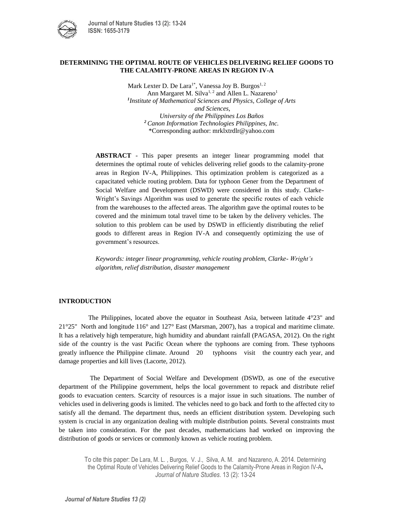

## **DETERMINING THE OPTIMAL ROUTE OF VEHICLES DELIVERING RELIEF GOODS TO THE CALAMITY-PRONE AREAS IN REGION IV-A**

Mark Lexter D. De Lara<sup>1\*</sup>, Vanessa Joy B. Burgos<sup>1, 2</sup> Ann Margaret M. Silva<sup>1, 2</sup> and Allen L. Nazareno<sup>1</sup> *1 Institute of Mathematical Sciences and Physics, College of Arts and Sciences, University of the Philippines Los Baños <sup>2</sup>Canon Information Technologies Philippines, Inc.* \*Corresponding author: mrklxtrdlr@yahoo.com

**ABSTRACT** - This paper presents an integer linear programming model that determines the optimal route of vehicles delivering relief goods to the calamity-prone areas in Region IV-A, Philippines. This optimization problem is categorized as a capacitated vehicle routing problem. Data for typhoon Gener from the Department of Social Welfare and Development (DSWD) were considered in this study. Clarke-Wright's Savings Algorithm was used to generate the specific routes of each vehicle from the warehouses to the affected areas. The algorithm gave the optimal routes to be covered and the minimum total travel time to be taken by the delivery vehicles. The solution to this problem can be used by DSWD in efficiently distributing the relief goods to different areas in Region IV-A and consequently optimizing the use of government's resources.

*Keywords: integer linear programming, vehicle routing problem, Clarke- Wright's algorithm, relief distribution, disaster management*

## **INTRODUCTION**

The Philippines, located above the equator in Southeast Asia, between latitude 4°23" and 21°25" North and longitude 116° and 127° East (Marsman, 2007), has a tropical and maritime climate. It has a relatively high temperature, high humidity and abundant rainfall (PAGASA, 2012). On the right side of the country is the vast Pacific Ocean where the typhoons are coming from. These typhoons greatly influence the Philippine climate. Around 20 typhoons visit the country each year, and damage properties and kill lives (Lacorte, 2012).

The Department of Social Welfare and Development (DSWD, as one of the executive department of the Philippine government, helps the local government to repack and distribute relief goods to evacuation centers. Scarcity of resources is a major issue in such situations. The number of vehicles used in delivering goods is limited. The vehicles need to go back and forth to the affected city to satisfy all the demand. The department thus, needs an efficient distribution system. Developing such system is crucial in any organization dealing with multiple distribution points. Several constraints must be taken into consideration. For the past decades, mathematicians had worked on improving the distribution of goods or services or commonly known as vehicle routing problem.

To cite this paper: De Lara, M. L. , Burgos, V. J., Silva, A. M. and Nazareno, A. 2014. Determining the Optimal Route of Vehicles Delivering Relief Goods to the Calamity-Prone Areas in Region IV-A**.**  *Journal of Nature Studies.* 13 (2): 13-24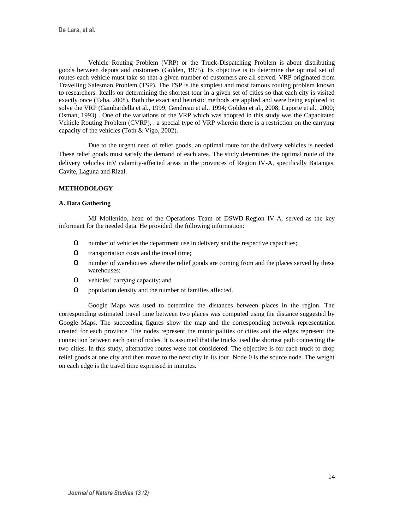Vehicle Routing Problem (VRP) or the Truck-Dispatching Problem is about distributing goods between depots and customers (Golden, 1975). Its objective is to determine the optimal set of routes each vehicle must take so that a given number of customers are all served. VRP originated from Travelling Salesman Problem (TSP). The TSP is the simplest and most famous routing problem known to researchers. Itcalls on determining the shortest tour in a given set of cities so that each city is visited exactly once (Taha, 2008). Both the exact and heuristic methods are applied and were being explored to solve the VRP (Gambardella et al., 1999; Gendreau et al., 1994; Golden et al., 2008; Laporte et al., 2000; Osman, 1993) . One of the variations of the VRP which was adopted in this study was the Capacitated Vehicle Routing Problem (CVRP), . a special type of VRP wherein there is a restriction on the carrying capacity of the vehicles (Toth & Vigo, 2002).

Due to the urgent need of relief goods, an optimal route for the delivery vehicles is needed. These relief goods must satisfy the demand of each area. The study determines the optimal route of the delivery vehicles inV calamity-affected areas in the provinces of Region IV-A, specifically Batangas, Cavite, Laguna and Rizal.

## **METHODOLOGY**

## **A. Data Gathering**

MJ Mollenido, head of the Operations Team of DSWD-Region IV-A, served as the key informant for the needed data. He provided the following information:

- o number of vehicles the department use in delivery and the respective capacities;
- **O** transportation costs and the travel time;
- o number of warehouses where the relief goods are coming from and the places served by these warehouses;
- o vehicles' carrying capacity; and
- **O** population density and the number of families affected.

Google Maps was used to determine the distances between places in the region. The corresponding estimated travel time between two places was computed using the distance suggested by Google Maps. The succeeding figures show the map and the corresponding network representation created for each province. The nodes represent the municipalities or cities and the edges represent the connection between each pair of nodes. It is assumed that the trucks used the shortest path connecting the two cities. In this study, alternative routes were not considered. The objective is for each truck to drop relief goods at one city and then move to the next city in its tour. Node 0 is the source node. The weight on each edge is the travel time expressed in minutes.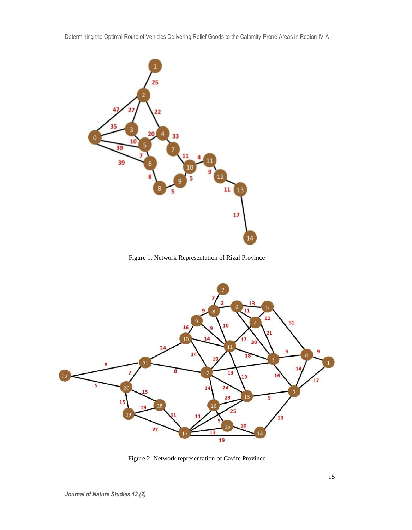

Figure 1. Network Representation of Rizal Province



Figure 2. Network representation of Cavite Province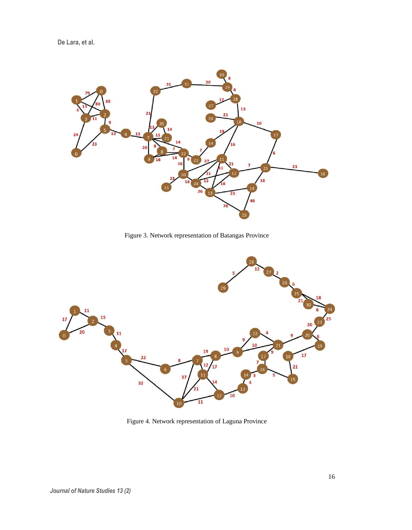**De Lara, et al.**



Figure 3. Network representation of Batangas Province



Figure 4. Network representation of Laguna Province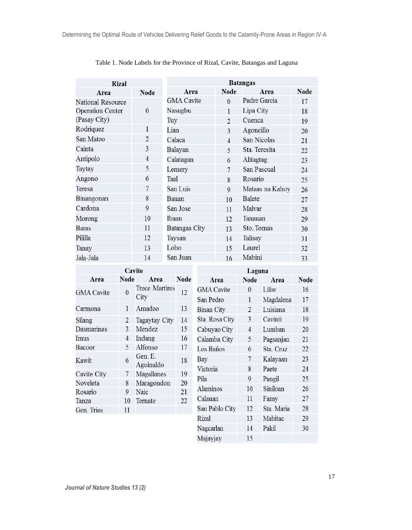| <b>Rizal</b>            |                | <b>Batangas</b>   |                          |                 |             |  |
|-------------------------|----------------|-------------------|--------------------------|-----------------|-------------|--|
| Area                    | <b>Node</b>    | Area              | <b>Node</b>              | Area            | <b>Node</b> |  |
| National Resource       |                | <b>GMA</b> Cavite | $\Omega$                 | Padre Garcia    | 17          |  |
| <b>Operation Center</b> | $\theta$       | Nasugbu           | 1                        | Lipa City       | 18          |  |
| (Pasay City)            |                | Tuy               | $\overline{2}$           | Cuenca          | 19          |  |
| Rodriquez               | 1              | Lian              | $\overline{\mathcal{E}}$ | Agoncillo       | 20          |  |
| San Mateo               | $\overline{2}$ | Calaca            | 4                        | San Nicolas     | 21          |  |
| Cainta                  | 3              | Balayan           | $\overline{5}$           | Sta. Teresita   | 22          |  |
| Antipolo                | $\overline{4}$ | Calatagan         | 6                        | Alitagtag       | 23          |  |
| Taytay                  | 5              | Lemery            | 7                        | San Pascual     | 24          |  |
| Angono                  | 6              | Taal              | 8                        | Rosario         | 25          |  |
| Teresa                  | 7              | San Luis          | $\mathbf Q$              | Mataas na Kahoy | 26          |  |
| Binangonan              | 8              | Bauan             | 10                       | <b>Balete</b>   | 27          |  |
| Cardona                 | 9              | San Jose          | 11                       | Malvar          | 28          |  |
| Morong                  | 10             | Ibaan             | 12                       | Tanauan         | 29          |  |
| Baras                   | 11             | Batangas City     | 13                       | Sto. Tomas      | 30          |  |
| Pililla                 | 12             | Taysan            | 14                       | Talisay         | 31          |  |
| Tanay                   | 13             | Lobo              | 15                       | Laurel          | 32          |  |
| Jala-Jala               | 14             | San Juan          | 16                       | Mabini          | 33          |  |

# Table 1. Node Labels for the Province of Rizal, Cavite, Batangas and Laguna

| Cavite                  |          |                    | Laguna      |                   |                |            |             |
|-------------------------|----------|--------------------|-------------|-------------------|----------------|------------|-------------|
| Area                    | Node     | Area               | <b>Node</b> | Area              | <b>Node</b>    | Area       | <b>Node</b> |
| <b>GMA</b> Cavite       | $\theta$ | Trece Martires     | 12          | <b>GMA</b> Cavite | $\theta$       | Liliw      | 16          |
|                         |          | City               |             | San Pedro         | 1              | Magdalena  | 17          |
| Carmona                 | 1        | Amadeo             | 13          | <b>Binan City</b> | $\overline{2}$ | Luisiana   | 18          |
| Silang                  | 2        | Tagaytay City      | 14          | Sta. Rosa City    | 3              | Cavinti    | 19          |
| Dasmarinas              | 3        | Mendez             | 15          | Cabuyao City      | $\overline{4}$ | Lumban     | 20          |
| Imus                    | 4        | Indang             | 16          | Calamba City      | 5              | Pagsanjan  | 21          |
| Bacoor                  | 5        | Alfonso            | 17          | Los Baños         | 6              | Sta. Cruz  | 22          |
| Kawit                   | 6        | Gen. E.            | 18          | Bay               | 7              | Kalayaan   | 23          |
|                         |          | Aguinaldo          |             | Victoria          | 8              | Paete      | 24          |
| Cavite City<br>Noveleta | 7<br>8   | Magallanes         | 19<br>20    | Pila              | 9              | Pangil     | 25          |
|                         | 9        | Maragondon<br>Naic | 21          | Alaminos          | 10             | Siniloan   | 26          |
| Rosario                 |          |                    | 22          | Calauan           | 11             | Famy       | 27          |
| Tanza                   | 10       | Ternate            |             | San Pablo City    | 12             | Sta. Maria | 28          |
| Gen. Trias              | 11       |                    |             |                   |                |            |             |
|                         |          |                    |             | Rizal             | 13             | Mabitac    | 29          |
|                         |          |                    |             | Nagcarlan         | 14             | Pakil      | 30          |

Majayjay

15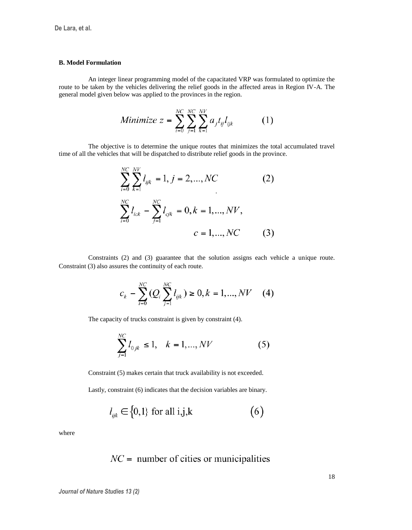## **B. Model Formulation**

An integer linear programming model of the capacitated VRP was formulated to optimize the route to be taken by the vehicles delivering the relief goods in the affected areas in Region IV-A. The general model given below was applied to the provinces in the region.

Minimize 
$$
z = \sum_{i=0}^{NC} \sum_{j=1}^{NC} \sum_{k=1}^{NV} a_j t_{ij} l_{ijk}
$$
 (1)

The objective is to determine the unique routes that minimizes the total accumulated travel time of all the vehicles that will be dispatched to distribute relief goods in the province.

$$
\sum_{i=0}^{NC} \sum_{k=1}^{NV} l_{ijk} = 1, j = 2, ..., NC
$$
\n
$$
\sum_{i=0}^{NC} l_{ick} - \sum_{j=1}^{NC} l_{cjk} = 0, k = 1, ..., NV,
$$
\n
$$
c = 1, ..., NC
$$
\n(3)

Constraints (2) and (3) guarantee that the solution assigns each vehicle a unique route. Constraint (3) also assures the continuity of each route.

$$
c_k - \sum_{i=0}^{NC} (Q_i \sum_{j=1}^{NC} l_{ijk}) \ge 0, k = 1, ..., NV \tag{4}
$$

The capacity of trucks constraint is given by constraint (4).

$$
\sum_{j=1}^{NC} l_{0jk} \le 1, \quad k = 1, ..., NV
$$
 (5)

Constraint (5) makes certain that truck availability is not exceeded.

Lastly, constraint (6) indicates that the decision variables are binary.

$$
l_{ijk} \in \{0,1\} \text{ for all } i,j,k \tag{6}
$$

where

$$
NC =
$$
 number of cities or municipalities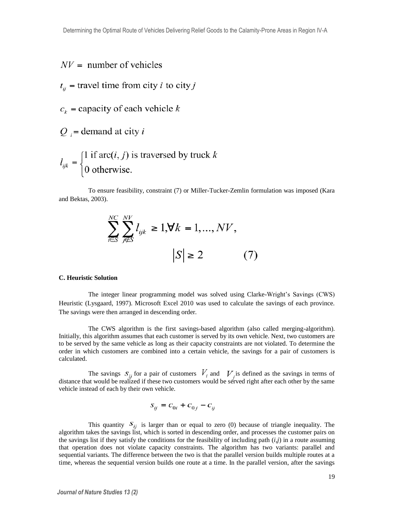- $NV =$  number of vehicles
- $t_{ii}$  = travel time from city *i* to city *j*
- $c_k$  = capacity of each vehicle k
- $Q_i$  = demand at city i

$$
l_{ijk} = \begin{cases} 1 \text{ if } \text{arc}(i, j) \text{ is traversed by truck } k \\ 0 \text{ otherwise.} \end{cases}
$$

To ensure feasibility, constraint (7) or Miller-Tucker-Zemlin formulation was imposed (Kara and Bektas, 2003).

$$
\sum_{i \in S}^{NC} \sum_{j \notin S}^{NV} l_{ijk} \ge 1, \forall k = 1, ..., NV, |S| \ge 2
$$
 (7)

### **C. Heuristic Solution**

The integer linear programming model was solved using Clarke-Wright's Savings (CWS) Heuristic (Lysgaard, 1997). Microsoft Excel 2010 was used to calculate the savings of each province. The savings were then arranged in descending order.

The CWS algorithm is the first savings-based algorithm (also called merging-algorithm). Initially, this algorithm assumes that each customer is served by its own vehicle. Next, two customers are to be served by the same vehicle as long as their capacity constraints are not violated. To determine the order in which customers are combined into a certain vehicle, the savings for a pair of customers is calculated.

The savings  $S_{ij}$  for a pair of customers  $V_i$  and  $V_j$  is defined as the savings in terms of distance that would be realized if these two customers would be served right after each other by the same vehicle instead of each by their own vehicle.

$$
S_{ij} = C_{0i} + C_{0j} - C_{ij}
$$

This quantity  $S_{ij}$  is larger than or equal to zero (0) because of triangle inequality. The algorithm takes the savings list, which is sorted in descending order, and processes the customer pairs on the savings list if they satisfy the conditions for the feasibility of including path  $(i,j)$  in a route assuming that operation does not violate capacity constraints. The algorithm has two variants: parallel and sequential variants. The difference between the two is that the parallel version builds multiple routes at a time, whereas the sequential version builds one route at a time. In the parallel version, after the savings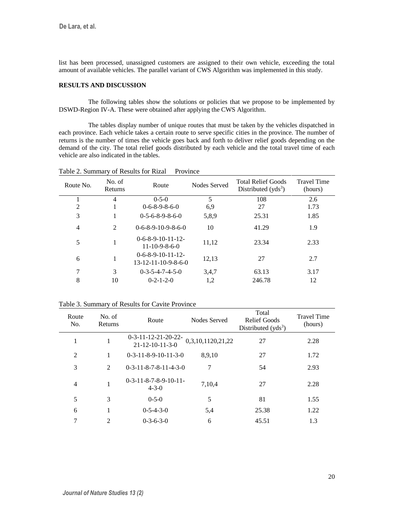list has been processed, unassigned customers are assigned to their own vehicle, exceeding the total amount of available vehicles. The parallel variant of CWS Algorithm was implemented in this study.

## **RESULTS AND DISCUSSION**

The following tables show the solutions or policies that we propose to be implemented by DSWD-Region IV-A. These were obtained after applying the CWS Algorithm.

The tables display number of unique routes that must be taken by the vehicles dispatched in each province. Each vehicle takes a certain route to serve specific cities in the province. The number of returns is the number of times the vehicle goes back and forth to deliver relief goods depending on the demand of the city. The total relief goods distributed by each vehicle and the total travel time of each vehicle are also indicated in the tables.

| Route No.      | No. of<br>Returns | Route                                                      | Nodes Served | <b>Total Relief Goods</b><br>Distributed $(vds3)$ | <b>Travel Time</b><br>(hours) |
|----------------|-------------------|------------------------------------------------------------|--------------|---------------------------------------------------|-------------------------------|
|                | 4                 | $0 - 5 - 0$                                                | 5            | 108                                               | 2.6                           |
| $\overline{c}$ |                   | $0-6-8-9-8-6-0$                                            | 6,9          | 27                                                | 1.73                          |
| 3              |                   | $0-5-6-8-9-8-6-0$                                          | 5.8.9        | 25.31                                             | 1.85                          |
| 4              | 2                 | $0-6-8-9-10-9-8-6-0$                                       | 10           | 41.29                                             | 1.9                           |
| 5              |                   | $0-6-8-9-10-11-12-$<br>$11-10-9-8-6-0$                     | 11,12        | 23.34                                             | 2.33                          |
| 6              | 1                 | $0-6-8-9-10-11-12-$<br>$13 - 12 - 11 - 10 - 9 - 8 - 6 - 0$ | 12,13        | 27                                                | 2.7                           |
| 7              | 3                 | $0-3-5-4-7-4-5-0$                                          | 3.4.7        | 63.13                                             | 3.17                          |
| 8              | 10                | $0 - 2 - 1 - 2 - 0$                                        | 1,2          | 246.78                                            | 12                            |

Table 2. Summary of Results for Rizal Province

| Route<br>No.   | No. of<br>Returns | Route                                                | Nodes Served      | Total<br><b>Relief Goods</b><br>Distributed $(yds^3)$ | <b>Travel Time</b><br>(hours) |
|----------------|-------------------|------------------------------------------------------|-------------------|-------------------------------------------------------|-------------------------------|
| 1              | 1                 | $0-3-11-12-21-20-22-$<br>$21 - 12 - 10 - 11 - 3 - 0$ | 0,3,10,1120,21,22 | 27                                                    | 2.28                          |
| 2              | 1                 | $0-3-11-8-9-10-11-3-0$                               | 8,9,10            | 27                                                    | 1.72                          |
| 3              | 2                 | $0-3-11-8-7-8-11-4-3-0$                              | 7                 | 54                                                    | 2.93                          |
| $\overline{4}$ | 1                 | $0-3-11-8-7-8-9-10-11-$<br>$4 - 3 - 0$               | 7,10,4            | 27                                                    | 2.28                          |
| 5              | 3                 | $0 - 5 - 0$                                          | 5                 | 81                                                    | 1.55                          |
| 6              |                   | $0-5-4-3-0$                                          | 5,4               | 25.38                                                 | 1.22                          |
| 7              | $\overline{c}$    | $0-3-6-3-0$                                          | 6                 | 45.51                                                 | 1.3                           |

Table 3. Summary of Results for Cavite Province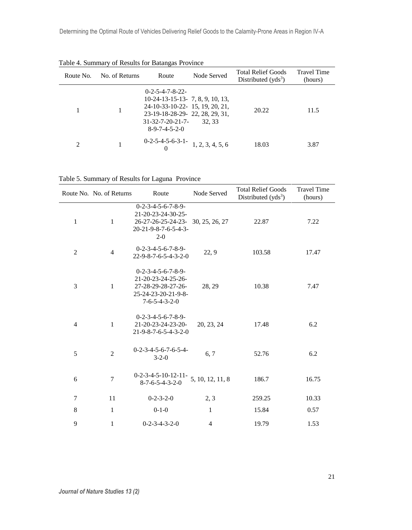| Route No.      | No. of Returns | Route                                                                                                                                                                                      | Node Served      | <b>Total Relief Goods</b><br>Distributed $(vds3)$ | <b>Travel Time</b><br>(hours) |
|----------------|----------------|--------------------------------------------------------------------------------------------------------------------------------------------------------------------------------------------|------------------|---------------------------------------------------|-------------------------------|
|                |                | $0 - 2 - 5 - 4 - 7 - 8 - 22 -$<br>$10-24-13-15-13-7, 8, 9, 10, 13,$<br>24-10-33-10-22- 15, 19, 20, 21,<br>23-19-18-28-29-22, 28, 29, 31,<br>$31 - 32 - 7 - 20 - 21 - 7$<br>$8-9-7-4-5-2-0$ | 32.33            | 20.22                                             | 11.5                          |
| $\mathfrak{D}$ |                | $0-2-5-4-5-6-3-1-$                                                                                                                                                                         | 1, 2, 3, 4, 5, 6 | 18.03                                             | 3.87                          |

Table 4. Summary of Results for Batangas Province

Table 5. Summary of Results for Laguna Province

|                | Route No. No. of Returns | Route                                                                                                                                   | Node Served      | <b>Total Relief Goods</b><br>Distributed $(yds3)$ | <b>Travel Time</b><br>(hours) |
|----------------|--------------------------|-----------------------------------------------------------------------------------------------------------------------------------------|------------------|---------------------------------------------------|-------------------------------|
| 1              | $\mathbf{1}$             | $0 - 2 - 3 - 4 - 5 - 6 - 7 - 8 - 9 -$<br>21-20-23-24-30-25-<br>26-27-26-25-24-23-30, 25, 26, 27<br>20-21-9-8-7-6-5-4-3-<br>$2 - 0$      |                  | 22.87                                             | 7.22                          |
| $\overline{c}$ | $\overline{4}$           | $0-2-3-4-5-6-7-8-9-$<br>$22 - 9 - 8 - 7 - 6 - 5 - 4 - 3 - 2 - 0$                                                                        | 22, 9            | 103.58                                            | 17.47                         |
| 3              | $\mathbf{1}$             | $0 - 2 - 3 - 4 - 5 - 6 - 7 - 8 - 9 -$<br>21-20-23-24-25-26-<br>27-28-29-28-27-26-<br>25-24-23-20-21-9-8-<br>$7 - 6 - 5 - 4 - 3 - 2 - 0$ | 28, 29           | 10.38                                             | 7.47                          |
| $\overline{4}$ | 1                        | $0-2-3-4-5-6-7-8-9-$<br>21-20-23-24-23-20-<br>21-9-8-7-6-5-4-3-2-0                                                                      | 20, 23, 24       | 17.48                                             | 6.2                           |
| 5              | $\overline{2}$           | $0-2-3-4-5-6-7-6-5-4-$<br>$3 - 2 - 0$                                                                                                   | 6, 7             | 52.76                                             | 6.2                           |
| 6              | $\overline{7}$           | $0-2-3-4-5-10-12-11-$<br>$8 - 7 - 6 - 5 - 4 - 3 - 2 - 0$                                                                                | 5, 10, 12, 11, 8 | 186.7                                             | 16.75                         |
| $\overline{7}$ | 11                       | $0 - 2 - 3 - 2 - 0$                                                                                                                     | 2, 3             | 259.25                                            | 10.33                         |
| 8              | 1                        | $0-1-0$                                                                                                                                 | 1                | 15.84                                             | 0.57                          |
| 9              | 1                        | $0 - 2 - 3 - 4 - 3 - 2 - 0$                                                                                                             | 4                | 19.79                                             | 1.53                          |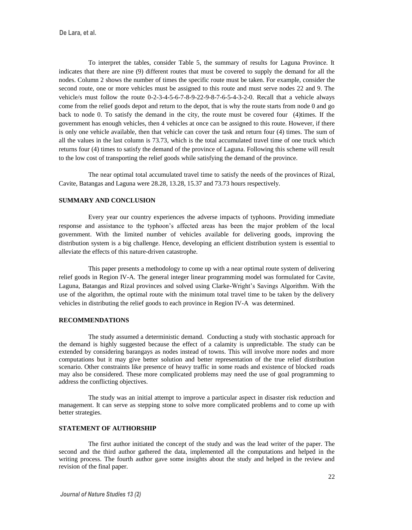To interpret the tables, consider Table 5, the summary of results for Laguna Province. It indicates that there are nine (9) different routes that must be covered to supply the demand for all the nodes. Column 2 shows the number of times the specific route must be taken. For example, consider the second route, one or more vehicles must be assigned to this route and must serve nodes 22 and 9. The vehicle/s must follow the route 0-2-3-4-5-6-7-8-9-22-9-8-7-6-5-4-3-2-0. Recall that a vehicle always come from the relief goods depot and return to the depot, that is why the route starts from node 0 and go back to node 0. To satisfy the demand in the city, the route must be covered four (4)times. If the government has enough vehicles, then 4 vehicles at once can be assigned to this route. However, if there is only one vehicle available, then that vehicle can cover the task and return four (4) times. The sum of all the values in the last column is 73.73, which is the total accumulated travel time of one truck which returns four (4) times to satisfy the demand of the province of Laguna. Following this scheme will result to the low cost of transporting the relief goods while satisfying the demand of the province.

The near optimal total accumulated travel time to satisfy the needs of the provinces of Rizal, Cavite, Batangas and Laguna were 28.28, 13.28, 15.37 and 73.73 hours respectively.

## **SUMMARY AND CONCLUSION**

Every year our country experiences the adverse impacts of typhoons. Providing immediate response and assistance to the typhoon's affected areas has been the major problem of the local government. With the limited number of vehicles available for delivering goods, improving the distribution system is a big challenge. Hence, developing an efficient distribution system is essential to alleviate the effects of this nature-driven catastrophe.

This paper presents a methodology to come up with a near optimal route system of delivering relief goods in Region IV-A. The general integer linear programming model was formulated for Cavite, Laguna, Batangas and Rizal provinces and solved using Clarke-Wright's Savings Algorithm. With the use of the algorithm, the optimal route with the minimum total travel time to be taken by the delivery vehicles in distributing the relief goods to each province in Region IV-A was determined.

#### **RECOMMENDATIONS**

The study assumed a deterministic demand. Conducting a study with stochastic approach for the demand is highly suggested because the effect of a calamity is unpredictable. The study can be extended by considering barangays as nodes instead of towns. This will involve more nodes and more computations but it may give better solution and better representation of the true relief distribution scenario. Other constraints like presence of heavy traffic in some roads and existence of blocked roads may also be considered. These more complicated problems may need the use of goal programming to address the conflicting objectives.

The study was an initial attempt to improve a particular aspect in disaster risk reduction and management. It can serve as stepping stone to solve more complicated problems and to come up with better strategies.

## **STATEMENT OF AUTHORSHIP**

The first author initiated the concept of the study and was the lead writer of the paper. The second and the third author gathered the data, implemented all the computations and helped in the writing process. The fourth author gave some insights about the study and helped in the review and revision of the final paper.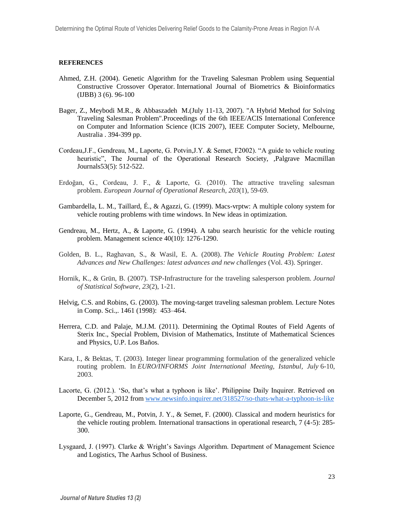## **REFERENCES**

- Ahmed, Z.H. (2004). Genetic Algorithm for the Traveling Salesman Problem using Sequential Constructive Crossover Operator. International Journal of Biometrics & Bioinformatics (IJBB) 3 (6). 96-100
- Bager, Z., Meybodi M.R., & Abbaszadeh M.(July 11-13, 2007). "A Hybrid Method for Solving Traveling Salesman Problem".Proceedings of the 6th IEEE/ACIS International Conference on Computer and Information Science (ICIS 2007), IEEE Computer Society, Melbourne, Australia . 394-399 pp.
- Cordeau,J.F., Gendreau, M., Laporte, G. Potvin,J.Y. & Semet, F2002). "A guide to vehicle routing heuristic", The Journal of the Operational Research Society, ,Palgrave Macmillan Journals53(5): 512-522.
- Erdoğan, G., Cordeau, J. F., & Laporte, G. (2010). The attractive traveling salesman problem. *European Journal of Operational Research*, *203*(1), 59-69.
- Gambardella, L. M., Taillard, É., & Agazzi, G. (1999). Macs-vrptw: A multiple colony system for vehicle routing problems with time windows. In New ideas in optimization.
- Gendreau, M., Hertz, A., & Laporte, G. (1994). A tabu search heuristic for the vehicle routing problem. Management science 40(10): 1276-1290.
- Golden, B. L., Raghavan, S., & Wasil, E. A. (2008). *The Vehicle Routing Problem: Latest Advances and New Challenges: latest advances and new challenges* (Vol. 43). Springer.
- Hornik, K., & Grün, B. (2007). TSP-Infrastructure for the traveling salesperson problem. *Journal of Statistical Software*, *23*(2), 1-21.
- Helvig, C.S. and Robins, G. (2003). The moving-target traveling salesman problem. Lecture Notes in Comp. Sci.,. 1461 (1998): 453–464.
- Herrera, C.D. and Palaje, M.J.M. (2011). Determining the Optimal Routes of Field Agents of Sterix Inc., Special Problem, Division of Mathematics, Institute of Mathematical Sciences and Physics, U.P. Los Baños.
- Kara, I., & Bektas, T. (2003). Integer linear programming formulation of the generalized vehicle routing problem. In *EURO/INFORMS Joint International Meeting, Istanbul, July* 6-10, 2003.
- Lacorte, G. (2012.). 'So, that's what a typhoon is like'. Philippine Daily Inquirer. Retrieved on December 5, 2012 from [www.newsinfo.inquirer.net/318527/so-thats-what-a-typhoon-is-like](http://www.newsinfo.inquirer.net/318527/so-thats-what-a-typhoon-is-like)
- Laporte, G., Gendreau, M., Potvin, J. Y., & Semet, F. (2000). Classical and modern heuristics for the vehicle routing problem. International transactions in operational research, 7 (4‐5): 285- 300.
- Lysgaard, J. (1997). Clarke & Wright's Savings Algorithm. Department of Management Science and Logistics, The Aarhus School of Business.